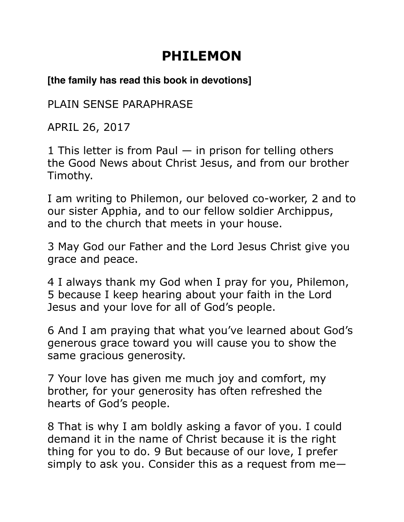## **PHILEMON**

## **[the family has read this book in devotions]**

PLAIN SENSE PARAPHRASE

APRIL 26, 2017

1 This letter is from Paul  $-$  in prison for telling others the Good News about Christ Jesus, and from our brother Timothy.

I am writing to Philemon, our beloved co-worker, 2 and to our sister Apphia, and to our fellow soldier Archippus, and to the church that meets in your house.

3 May God our Father and the Lord Jesus Christ give you grace and peace.

4 I always thank my God when I pray for you, Philemon, 5 because I keep hearing about your faith in the Lord Jesus and your love for all of God's people.

6 And I am praying that what you've learned about God's generous grace toward you will cause you to show the same gracious generosity.

7 Your love has given me much joy and comfort, my brother, for your generosity has often refreshed the hearts of God's people.

8 That is why I am boldly asking a favor of you. I could demand it in the name of Christ because it is the right thing for you to do. 9 But because of our love, I prefer simply to ask you. Consider this as a request from me—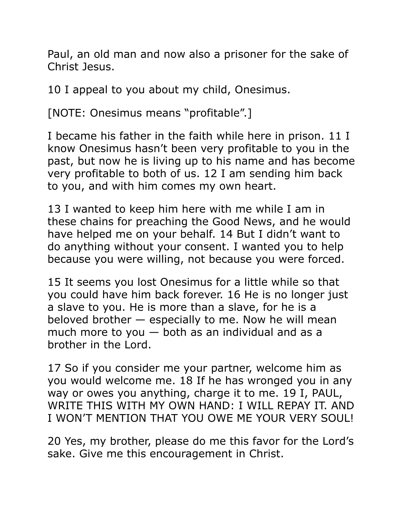Paul, an old man and now also a prisoner for the sake of Christ Jesus.

10 I appeal to you about my child, Onesimus.

[NOTE: Onesimus means "profitable".]

I became his father in the faith while here in prison. 11 I know Onesimus hasn't been very profitable to you in the past, but now he is living up to his name and has become very profitable to both of us. 12 I am sending him back to you, and with him comes my own heart.

13 I wanted to keep him here with me while I am in these chains for preaching the Good News, and he would have helped me on your behalf. 14 But I didn't want to do anything without your consent. I wanted you to help because you were willing, not because you were forced.

15 It seems you lost Onesimus for a little while so that you could have him back forever. 16 He is no longer just a slave to you. He is more than a slave, for he is a beloved brother — especially to me. Now he will mean much more to you  $-$  both as an individual and as a brother in the Lord.

17 So if you consider me your partner, welcome him as you would welcome me. 18 If he has wronged you in any way or owes you anything, charge it to me. 19 I, PAUL, WRITE THIS WITH MY OWN HAND: I WILL REPAY IT. AND I WON'T MENTION THAT YOU OWE ME YOUR VERY SOUL!

20 Yes, my brother, please do me this favor for the Lord's sake. Give me this encouragement in Christ.